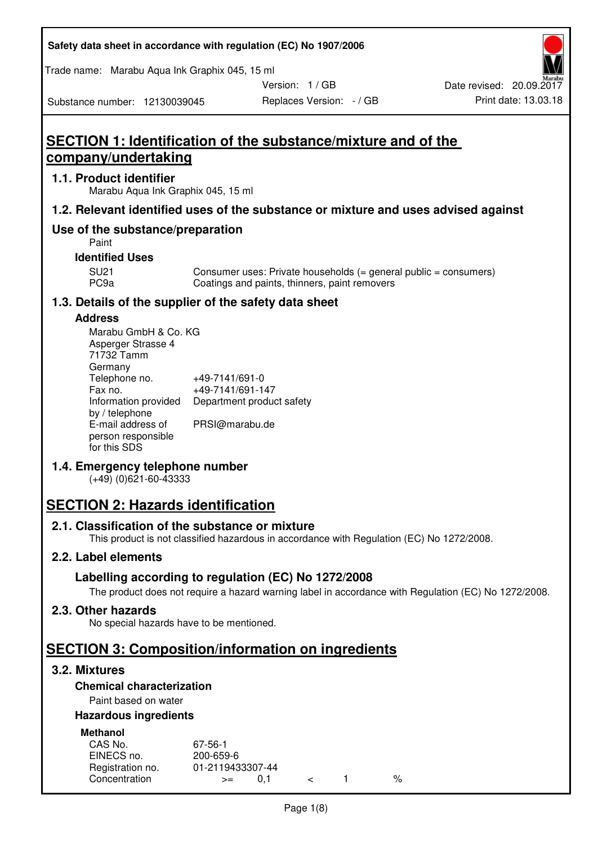| Safety data sheet in accordance with regulation (EC) No 1907/2006 |  |
|-------------------------------------------------------------------|--|
|-------------------------------------------------------------------|--|

Trade name: Marabu Aqua Ink Graphix 045, 15 ml

Version: 1 / GB

Substance number: 12130039045

# **SECTION 1: Identification of the substance/mixture and of the company/undertaking**

### **1.1. Product identifier**

Marabu Aqua Ink Graphix 045, 15 ml

### **1.2. Relevant identified uses of the substance or mixture and uses advised against**

### **Use of the substance/preparation**

Paint

### **Identified Uses**

SU21 Consumer uses: Private households (= general public = consumers)<br>PC9a Coatings and paints, thinners, paint removers Coatings and paints, thinners, paint removers

### **1.3. Details of the supplier of the safety data sheet**

### **Address**

| Marabu GmbH & Co. KG |                           |
|----------------------|---------------------------|
| Asperger Strasse 4   |                           |
| 71732 Tamm           |                           |
| Germany              |                           |
| Telephone no.        | +49-7141/691-0            |
| Fax no.              | +49-7141/691-147          |
| Information provided | Department product safety |
| by / telephone       |                           |
| E-mail address of    | PRSI@marabu.de            |
| person responsible   |                           |
| for this SDS         |                           |

### **1.4. Emergency telephone number**

(+49) (0)621-60-43333

## **SECTION 2: Hazards identification**

#### **2.1. Classification of the substance or mixture**

This product is not classified hazardous in accordance with Regulation (EC) No 1272/2008.

### **2.2. Label elements**

### **Labelling according to regulation (EC) No 1272/2008**

The product does not require a hazard warning label in accordance with Regulation (EC) No 1272/2008.

### **2.3. Other hazards**

No special hazards have to be mentioned.

## **SECTION 3: Composition/information on ingredients**

### **3.2. Mixtures**

### **Chemical characterization**

### Paint based on water

### **Hazardous ingredients**

| <b>Methanol</b>  |                  |  |   |
|------------------|------------------|--|---|
| CAS No.          | 67-56-1          |  |   |
| EINECS no.       | 200-659-6        |  |   |
| Registration no. | 01-2119433307-44 |  |   |
| Concentration    | O 1<br>$>=$      |  | % |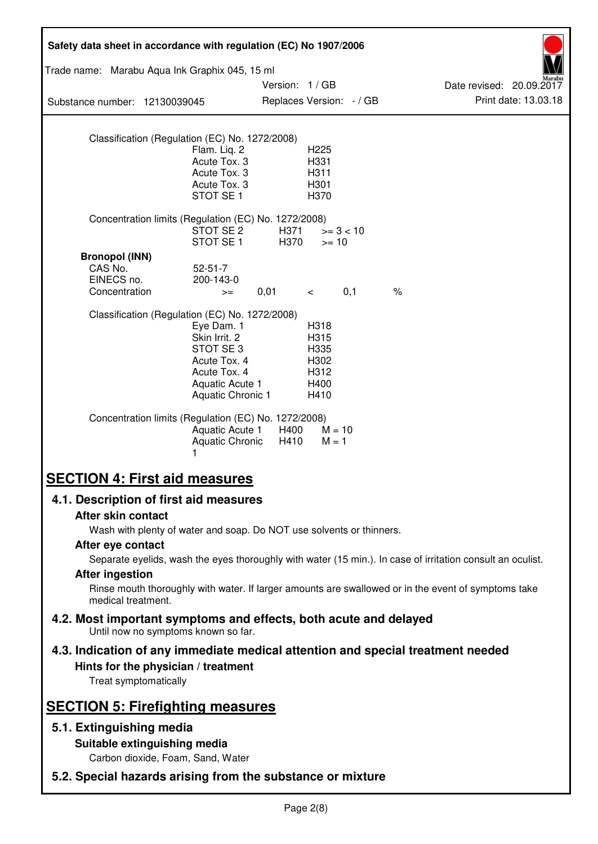| Safety data sheet in accordance with regulation (EC) No 1907/2006                                                                                   |                                                                                                                 |                                           |                                                      |             |                                                                                                            |
|-----------------------------------------------------------------------------------------------------------------------------------------------------|-----------------------------------------------------------------------------------------------------------------|-------------------------------------------|------------------------------------------------------|-------------|------------------------------------------------------------------------------------------------------------|
| Trade name: Marabu Aqua Ink Graphix 045, 15 ml                                                                                                      |                                                                                                                 |                                           |                                                      |             |                                                                                                            |
| Substance number: 12130039045                                                                                                                       |                                                                                                                 | Version: 1/GB<br>Replaces Version: - / GB |                                                      |             | Date revised: 20.09.2017<br>Print date: 13.03.18                                                           |
|                                                                                                                                                     |                                                                                                                 |                                           |                                                      |             |                                                                                                            |
| Classification (Regulation (EC) No. 1272/2008)                                                                                                      | Flam. Liq. 2<br>Acute Tox. 3<br>Acute Tox. 3<br>Acute Tox. 3<br>STOT SE <sub>1</sub>                            |                                           | H225<br>H331<br>H311<br>H301<br>H370                 |             |                                                                                                            |
| Concentration limits (Regulation (EC) No. 1272/2008)                                                                                                | STOT SE 2<br>STOT SE <sub>1</sub>                                                                               | H371<br>H370                              | $>= 10$                                              | $>= 3 < 10$ |                                                                                                            |
| <b>Bronopol (INN)</b><br>CAS No.<br>EINECS no.<br>Concentration                                                                                     | $52 - 51 - 7$<br>200-143-0<br>$>=$                                                                              | 0,01                                      | $\lt$                                                | 0,1         | $\frac{1}{6}$                                                                                              |
| Classification (Regulation (EC) No. 1272/2008)                                                                                                      | Eye Dam. 1<br>Skin Irrit. 2<br>STOT SE3<br>Acute Tox. 4<br>Acute Tox. 4<br>Aquatic Acute 1<br>Aquatic Chronic 1 |                                           | H318<br>H315<br>H335<br>H302<br>H312<br>H400<br>H410 |             |                                                                                                            |
| Concentration limits (Regulation (EC) No. 1272/2008)                                                                                                | Aquatic Acute 1<br><b>Aquatic Chronic</b><br>1                                                                  | H400<br>H410                              | $M = 10$<br>$M = 1$                                  |             |                                                                                                            |
| <b>SECTION 4: First aid measures</b>                                                                                                                |                                                                                                                 |                                           |                                                      |             |                                                                                                            |
| 4.1. Description of first aid measures                                                                                                              |                                                                                                                 |                                           |                                                      |             |                                                                                                            |
| After skin contact                                                                                                                                  |                                                                                                                 |                                           |                                                      |             |                                                                                                            |
| Wash with plenty of water and soap. Do NOT use solvents or thinners.<br>After eye contact                                                           |                                                                                                                 |                                           |                                                      |             |                                                                                                            |
|                                                                                                                                                     |                                                                                                                 |                                           |                                                      |             | Separate eyelids, wash the eyes thoroughly with water (15 min.). In case of irritation consult an oculist. |
| <b>After ingestion</b><br>Rinse mouth thoroughly with water. If larger amounts are swallowed or in the event of symptoms take<br>medical treatment. |                                                                                                                 |                                           |                                                      |             |                                                                                                            |
| 4.2. Most important symptoms and effects, both acute and delayed<br>Until now no symptoms known so far.                                             |                                                                                                                 |                                           |                                                      |             |                                                                                                            |
| 4.3. Indication of any immediate medical attention and special treatment needed<br>Hints for the physician / treatment<br>Treat symptomatically     |                                                                                                                 |                                           |                                                      |             |                                                                                                            |
| <b>SECTION 5: Firefighting measures</b>                                                                                                             |                                                                                                                 |                                           |                                                      |             |                                                                                                            |
| 5.1. Extinguishing media                                                                                                                            |                                                                                                                 |                                           |                                                      |             |                                                                                                            |
| Suitable extinguishing media<br>Carbon dioxide, Foam, Sand, Water                                                                                   |                                                                                                                 |                                           |                                                      |             |                                                                                                            |
| 5.2. Special hazards arising from the substance or mixture                                                                                          |                                                                                                                 |                                           |                                                      |             |                                                                                                            |
|                                                                                                                                                     |                                                                                                                 |                                           |                                                      |             |                                                                                                            |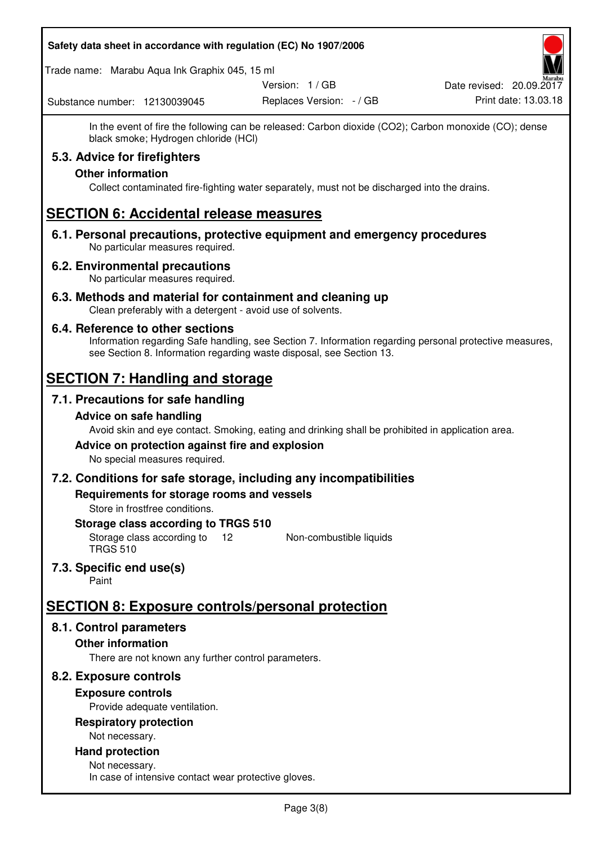### **Safety data sheet in accordance with regulation (EC) No 1907/2006**

Trade name: Marabu Aqua Ink Graphix 045, 15 ml

Version: 1 / GB

Replaces Version: - / GB Print date: 13.03.18 Date revised: 20.09.2017

Substance number: 12130039045

In the event of fire the following can be released: Carbon dioxide (CO2); Carbon monoxide (CO); dense black smoke; Hydrogen chloride (HCl)

### **5.3. Advice for firefighters**

### **Other information**

Collect contaminated fire-fighting water separately, must not be discharged into the drains.

## **SECTION 6: Accidental release measures**

**6.1. Personal precautions, protective equipment and emergency procedures**  No particular measures required.

### **6.2. Environmental precautions**

No particular measures required.

**6.3. Methods and material for containment and cleaning up**  Clean preferably with a detergent - avoid use of solvents.

### **6.4. Reference to other sections**

Information regarding Safe handling, see Section 7. Information regarding personal protective measures, see Section 8. Information regarding waste disposal, see Section 13.

## **SECTION 7: Handling and storage**

### **7.1. Precautions for safe handling**

### **Advice on safe handling**

Avoid skin and eye contact. Smoking, eating and drinking shall be prohibited in application area.

### **Advice on protection against fire and explosion**

No special measures required.

#### **7.2. Conditions for safe storage, including any incompatibilities**

**Requirements for storage rooms and vessels** 

Store in frostfree conditions.

#### **Storage class according to TRGS 510**

Storage class according to 12 TRGS 510 Non-combustible liquids

### **7.3. Specific end use(s)**

Paint

## **SECTION 8: Exposure controls/personal protection**

### **8.1. Control parameters**

### **Other information**

There are not known any further control parameters.

### **8.2. Exposure controls**

### **Exposure controls**

Provide adequate ventilation.

# **Respiratory protection**

Not necessary.

#### **Hand protection**  Not necessary.

In case of intensive contact wear protective gloves.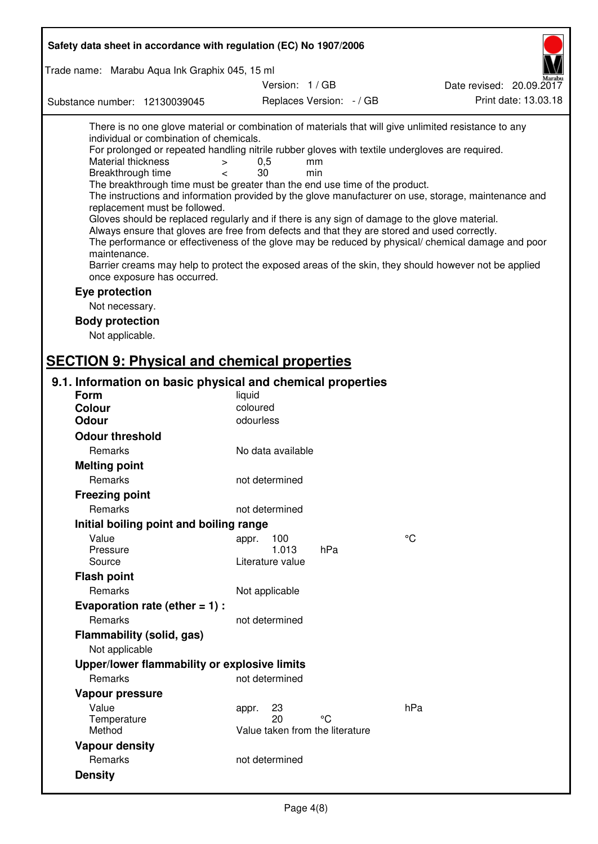| Safety data sheet in accordance with regulation (EC) No 1907/2006                                                                                                                                                                                                                                                                                                                                                                                                                                                                                                                                                                                                                                                                                                                                                                                                                                                                                                                                                                                                                                                                                                       |                                 |                          |                          |  |  |
|-------------------------------------------------------------------------------------------------------------------------------------------------------------------------------------------------------------------------------------------------------------------------------------------------------------------------------------------------------------------------------------------------------------------------------------------------------------------------------------------------------------------------------------------------------------------------------------------------------------------------------------------------------------------------------------------------------------------------------------------------------------------------------------------------------------------------------------------------------------------------------------------------------------------------------------------------------------------------------------------------------------------------------------------------------------------------------------------------------------------------------------------------------------------------|---------------------------------|--------------------------|--------------------------|--|--|
| Trade name: Marabu Aqua Ink Graphix 045, 15 ml                                                                                                                                                                                                                                                                                                                                                                                                                                                                                                                                                                                                                                                                                                                                                                                                                                                                                                                                                                                                                                                                                                                          |                                 |                          |                          |  |  |
|                                                                                                                                                                                                                                                                                                                                                                                                                                                                                                                                                                                                                                                                                                                                                                                                                                                                                                                                                                                                                                                                                                                                                                         | Version: 1 / GB                 |                          | Date revised: 20.09.2017 |  |  |
| Substance number: 12130039045                                                                                                                                                                                                                                                                                                                                                                                                                                                                                                                                                                                                                                                                                                                                                                                                                                                                                                                                                                                                                                                                                                                                           |                                 | Replaces Version: - / GB | Print date: 13.03.18     |  |  |
| There is no one glove material or combination of materials that will give unlimited resistance to any<br>individual or combination of chemicals.<br>For prolonged or repeated handling nitrile rubber gloves with textile undergloves are required.<br><b>Material thickness</b><br>$\,>$<br>Breakthrough time<br>$\overline{\phantom{a}}$<br>The breakthrough time must be greater than the end use time of the product.<br>The instructions and information provided by the glove manufacturer on use, storage, maintenance and<br>replacement must be followed.<br>Gloves should be replaced regularly and if there is any sign of damage to the glove material.<br>Always ensure that gloves are free from defects and that they are stored and used correctly.<br>The performance or effectiveness of the glove may be reduced by physical/ chemical damage and poor<br>maintenance.<br>Barrier creams may help to protect the exposed areas of the skin, they should however not be applied<br>once exposure has occurred.<br>Eye protection<br>Not necessary.<br><b>Body protection</b><br>Not applicable.<br><b>SECTION 9: Physical and chemical properties</b> | 0,5<br>30                       | mm<br>min                |                          |  |  |
|                                                                                                                                                                                                                                                                                                                                                                                                                                                                                                                                                                                                                                                                                                                                                                                                                                                                                                                                                                                                                                                                                                                                                                         |                                 |                          |                          |  |  |
| 9.1. Information on basic physical and chemical properties                                                                                                                                                                                                                                                                                                                                                                                                                                                                                                                                                                                                                                                                                                                                                                                                                                                                                                                                                                                                                                                                                                              |                                 |                          |                          |  |  |
| <b>Form</b><br><b>Colour</b>                                                                                                                                                                                                                                                                                                                                                                                                                                                                                                                                                                                                                                                                                                                                                                                                                                                                                                                                                                                                                                                                                                                                            | liquid<br>coloured              |                          |                          |  |  |
| <b>Odour</b>                                                                                                                                                                                                                                                                                                                                                                                                                                                                                                                                                                                                                                                                                                                                                                                                                                                                                                                                                                                                                                                                                                                                                            | odourless                       |                          |                          |  |  |
| <b>Odour threshold</b>                                                                                                                                                                                                                                                                                                                                                                                                                                                                                                                                                                                                                                                                                                                                                                                                                                                                                                                                                                                                                                                                                                                                                  |                                 |                          |                          |  |  |
| Remarks                                                                                                                                                                                                                                                                                                                                                                                                                                                                                                                                                                                                                                                                                                                                                                                                                                                                                                                                                                                                                                                                                                                                                                 | No data available               |                          |                          |  |  |
| <b>Melting point</b>                                                                                                                                                                                                                                                                                                                                                                                                                                                                                                                                                                                                                                                                                                                                                                                                                                                                                                                                                                                                                                                                                                                                                    |                                 |                          |                          |  |  |
| Remarks                                                                                                                                                                                                                                                                                                                                                                                                                                                                                                                                                                                                                                                                                                                                                                                                                                                                                                                                                                                                                                                                                                                                                                 | not determined                  |                          |                          |  |  |
|                                                                                                                                                                                                                                                                                                                                                                                                                                                                                                                                                                                                                                                                                                                                                                                                                                                                                                                                                                                                                                                                                                                                                                         |                                 |                          |                          |  |  |
| <b>Freezing point</b>                                                                                                                                                                                                                                                                                                                                                                                                                                                                                                                                                                                                                                                                                                                                                                                                                                                                                                                                                                                                                                                                                                                                                   |                                 |                          |                          |  |  |
| Remarks                                                                                                                                                                                                                                                                                                                                                                                                                                                                                                                                                                                                                                                                                                                                                                                                                                                                                                                                                                                                                                                                                                                                                                 | not determined                  |                          |                          |  |  |
| Initial boiling point and boiling range                                                                                                                                                                                                                                                                                                                                                                                                                                                                                                                                                                                                                                                                                                                                                                                                                                                                                                                                                                                                                                                                                                                                 |                                 |                          |                          |  |  |
| Value<br>Pressure                                                                                                                                                                                                                                                                                                                                                                                                                                                                                                                                                                                                                                                                                                                                                                                                                                                                                                                                                                                                                                                                                                                                                       | 100<br>appr.<br>1.013           | hPa                      | °C                       |  |  |
| Source                                                                                                                                                                                                                                                                                                                                                                                                                                                                                                                                                                                                                                                                                                                                                                                                                                                                                                                                                                                                                                                                                                                                                                  | Literature value                |                          |                          |  |  |
| <b>Flash point</b>                                                                                                                                                                                                                                                                                                                                                                                                                                                                                                                                                                                                                                                                                                                                                                                                                                                                                                                                                                                                                                                                                                                                                      |                                 |                          |                          |  |  |
| Remarks                                                                                                                                                                                                                                                                                                                                                                                                                                                                                                                                                                                                                                                                                                                                                                                                                                                                                                                                                                                                                                                                                                                                                                 | Not applicable                  |                          |                          |  |  |
| Evaporation rate (ether $= 1$ ) :                                                                                                                                                                                                                                                                                                                                                                                                                                                                                                                                                                                                                                                                                                                                                                                                                                                                                                                                                                                                                                                                                                                                       |                                 |                          |                          |  |  |
| Remarks                                                                                                                                                                                                                                                                                                                                                                                                                                                                                                                                                                                                                                                                                                                                                                                                                                                                                                                                                                                                                                                                                                                                                                 | not determined                  |                          |                          |  |  |
|                                                                                                                                                                                                                                                                                                                                                                                                                                                                                                                                                                                                                                                                                                                                                                                                                                                                                                                                                                                                                                                                                                                                                                         |                                 |                          |                          |  |  |
| Flammability (solid, gas)                                                                                                                                                                                                                                                                                                                                                                                                                                                                                                                                                                                                                                                                                                                                                                                                                                                                                                                                                                                                                                                                                                                                               |                                 |                          |                          |  |  |
| Not applicable                                                                                                                                                                                                                                                                                                                                                                                                                                                                                                                                                                                                                                                                                                                                                                                                                                                                                                                                                                                                                                                                                                                                                          |                                 |                          |                          |  |  |
| Upper/lower flammability or explosive limits                                                                                                                                                                                                                                                                                                                                                                                                                                                                                                                                                                                                                                                                                                                                                                                                                                                                                                                                                                                                                                                                                                                            |                                 |                          |                          |  |  |
| Remarks                                                                                                                                                                                                                                                                                                                                                                                                                                                                                                                                                                                                                                                                                                                                                                                                                                                                                                                                                                                                                                                                                                                                                                 | not determined                  |                          |                          |  |  |
| Vapour pressure                                                                                                                                                                                                                                                                                                                                                                                                                                                                                                                                                                                                                                                                                                                                                                                                                                                                                                                                                                                                                                                                                                                                                         |                                 |                          |                          |  |  |
| Value                                                                                                                                                                                                                                                                                                                                                                                                                                                                                                                                                                                                                                                                                                                                                                                                                                                                                                                                                                                                                                                                                                                                                                   | 23<br>appr.<br>20               | °C                       | hPa                      |  |  |
| Temperature<br>Method                                                                                                                                                                                                                                                                                                                                                                                                                                                                                                                                                                                                                                                                                                                                                                                                                                                                                                                                                                                                                                                                                                                                                   | Value taken from the literature |                          |                          |  |  |
| <b>Vapour density</b>                                                                                                                                                                                                                                                                                                                                                                                                                                                                                                                                                                                                                                                                                                                                                                                                                                                                                                                                                                                                                                                                                                                                                   |                                 |                          |                          |  |  |
| Remarks                                                                                                                                                                                                                                                                                                                                                                                                                                                                                                                                                                                                                                                                                                                                                                                                                                                                                                                                                                                                                                                                                                                                                                 | not determined                  |                          |                          |  |  |
|                                                                                                                                                                                                                                                                                                                                                                                                                                                                                                                                                                                                                                                                                                                                                                                                                                                                                                                                                                                                                                                                                                                                                                         |                                 |                          |                          |  |  |
| <b>Density</b>                                                                                                                                                                                                                                                                                                                                                                                                                                                                                                                                                                                                                                                                                                                                                                                                                                                                                                                                                                                                                                                                                                                                                          |                                 |                          |                          |  |  |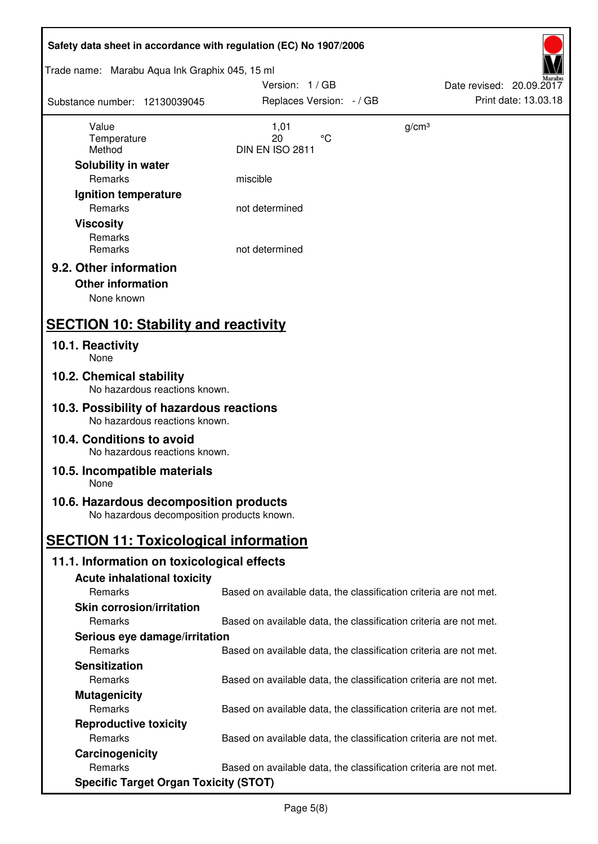| Safety data sheet in accordance with regulation (EC) No 1907/2006                    |                                                                   |                          |
|--------------------------------------------------------------------------------------|-------------------------------------------------------------------|--------------------------|
| Trade name: Marabu Aqua Ink Graphix 045, 15 ml                                       |                                                                   |                          |
|                                                                                      | Version: 1 / GB                                                   | Date revised: 20.09.2017 |
| Substance number: 12130039045                                                        | Replaces Version: - / GB                                          | Print date: 13.03.18     |
|                                                                                      |                                                                   |                          |
| Value<br>Temperature                                                                 | 1,01<br>$\rm ^{\circ}C$<br>20                                     | g/cm <sup>3</sup>        |
| Method                                                                               | DIN EN ISO 2811                                                   |                          |
| Solubility in water                                                                  |                                                                   |                          |
| Remarks                                                                              | miscible                                                          |                          |
| Ignition temperature                                                                 |                                                                   |                          |
| Remarks                                                                              | not determined                                                    |                          |
| <b>Viscosity</b>                                                                     |                                                                   |                          |
| Remarks                                                                              |                                                                   |                          |
| Remarks                                                                              | not determined                                                    |                          |
| 9.2. Other information                                                               |                                                                   |                          |
| <b>Other information</b>                                                             |                                                                   |                          |
| None known                                                                           |                                                                   |                          |
|                                                                                      |                                                                   |                          |
| <b>SECTION 10: Stability and reactivity</b>                                          |                                                                   |                          |
| 10.1. Reactivity                                                                     |                                                                   |                          |
| None                                                                                 |                                                                   |                          |
| 10.2. Chemical stability<br>No hazardous reactions known.                            |                                                                   |                          |
| 10.3. Possibility of hazardous reactions<br>No hazardous reactions known.            |                                                                   |                          |
| 10.4. Conditions to avoid<br>No hazardous reactions known.                           |                                                                   |                          |
| 10.5. Incompatible materials<br>None                                                 |                                                                   |                          |
|                                                                                      |                                                                   |                          |
| 10.6. Hazardous decomposition products<br>No hazardous decomposition products known. |                                                                   |                          |
| <b>SECTION 11: Toxicological information</b>                                         |                                                                   |                          |
| 11.1. Information on toxicological effects                                           |                                                                   |                          |
| <b>Acute inhalational toxicity</b>                                                   |                                                                   |                          |
| Remarks                                                                              | Based on available data, the classification criteria are not met. |                          |
| <b>Skin corrosion/irritation</b>                                                     |                                                                   |                          |
| Remarks                                                                              | Based on available data, the classification criteria are not met. |                          |
| Serious eye damage/irritation                                                        |                                                                   |                          |
| Remarks                                                                              | Based on available data, the classification criteria are not met. |                          |
| <b>Sensitization</b>                                                                 |                                                                   |                          |
| Remarks                                                                              | Based on available data, the classification criteria are not met. |                          |
| <b>Mutagenicity</b>                                                                  |                                                                   |                          |
| Remarks                                                                              | Based on available data, the classification criteria are not met. |                          |
| <b>Reproductive toxicity</b>                                                         |                                                                   |                          |
| Remarks                                                                              | Based on available data, the classification criteria are not met. |                          |
| Carcinogenicity                                                                      |                                                                   |                          |
| Remarks                                                                              | Based on available data, the classification criteria are not met. |                          |
| <b>Specific Target Organ Toxicity (STOT)</b>                                         |                                                                   |                          |
|                                                                                      |                                                                   |                          |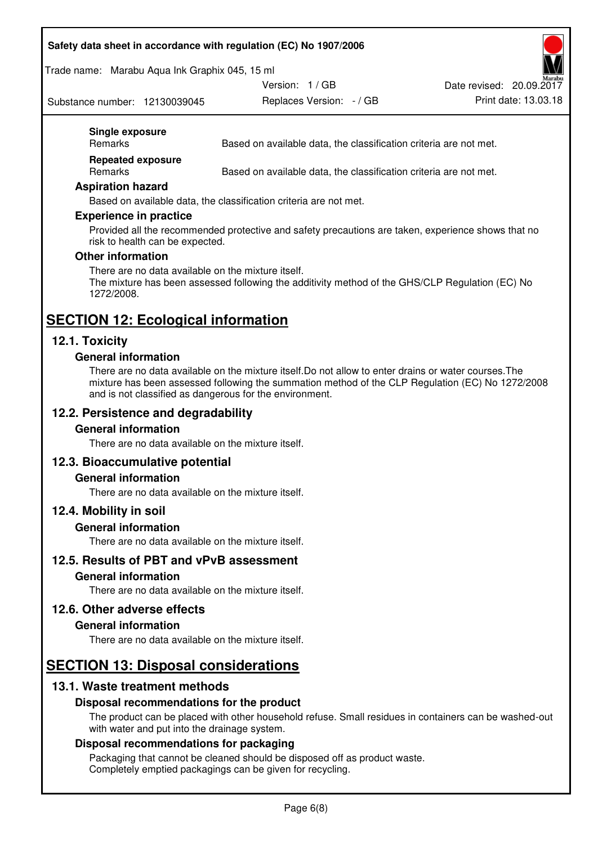### **Safety data sheet in accordance with regulation (EC) No 1907/2006**

Trade name: Marabu Aqua Ink Graphix 045, 15 ml

Replaces Version:  $-$  / GB Print date: 13.03.18 Date revised: 20.09.2017

Substance number: 12130039045

Version: 1 / GB

#### **Single exposure**

Remarks Based on available data, the classification criteria are not met.

**Repeated exposure** 

Remarks Based on available data, the classification criteria are not met.

#### **Aspiration hazard**

Based on available data, the classification criteria are not met.

#### **Experience in practice**

Provided all the recommended protective and safety precautions are taken, experience shows that no risk to health can be expected.

#### **Other information**

There are no data available on the mixture itself. The mixture has been assessed following the additivity method of the GHS/CLP Regulation (EC) No 1272/2008.

## **SECTION 12: Ecological information**

### **12.1. Toxicity**

#### **General information**

There are no data available on the mixture itself.Do not allow to enter drains or water courses.The mixture has been assessed following the summation method of the CLP Regulation (EC) No 1272/2008 and is not classified as dangerous for the environment.

### **12.2. Persistence and degradability**

#### **General information**

There are no data available on the mixture itself.

#### **12.3. Bioaccumulative potential**

#### **General information**

There are no data available on the mixture itself.

#### **12.4. Mobility in soil**

#### **General information**

There are no data available on the mixture itself.

#### **12.5. Results of PBT and vPvB assessment**

#### **General information**

There are no data available on the mixture itself.

#### **12.6. Other adverse effects**

#### **General information**

There are no data available on the mixture itself.

## **SECTION 13: Disposal considerations**

#### **13.1. Waste treatment methods**

#### **Disposal recommendations for the product**

The product can be placed with other household refuse. Small residues in containers can be washed-out with water and put into the drainage system.

#### **Disposal recommendations for packaging**

Packaging that cannot be cleaned should be disposed off as product waste. Completely emptied packagings can be given for recycling.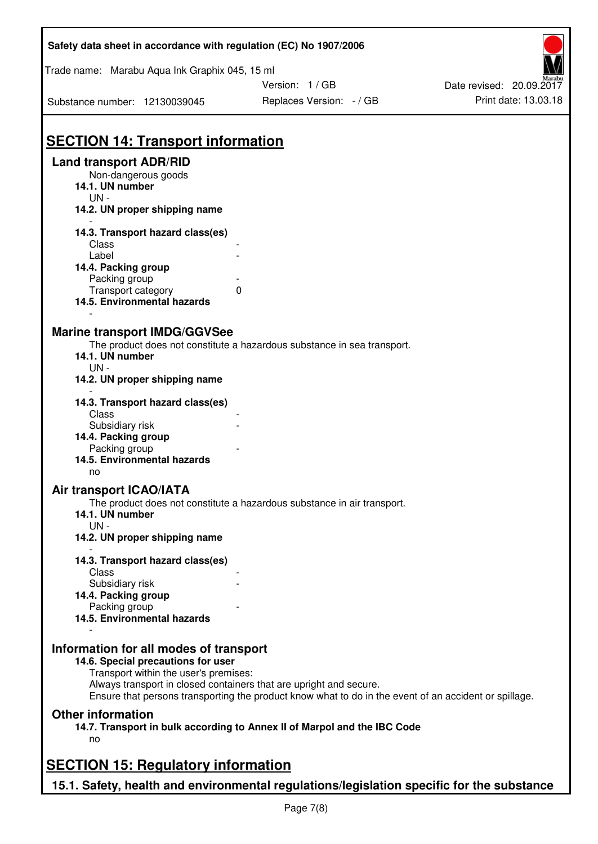| Safety data sheet in accordance with regulation (EC) No 1907/2006 |                                                                                                                                                                             |                          |  |  |  |
|-------------------------------------------------------------------|-----------------------------------------------------------------------------------------------------------------------------------------------------------------------------|--------------------------|--|--|--|
| Trade name: Marabu Aqua Ink Graphix 045, 15 ml                    |                                                                                                                                                                             |                          |  |  |  |
|                                                                   | Version: 1 / GB                                                                                                                                                             | Date revised: 20.09.2017 |  |  |  |
| Substance number: 12130039045                                     | Replaces Version: - / GB                                                                                                                                                    | Print date: 13.03.18     |  |  |  |
|                                                                   |                                                                                                                                                                             |                          |  |  |  |
| <b>SECTION 14: Transport information</b>                          |                                                                                                                                                                             |                          |  |  |  |
| <b>Land transport ADR/RID</b><br>Non-dangerous goods              |                                                                                                                                                                             |                          |  |  |  |
| 14.1. UN number                                                   |                                                                                                                                                                             |                          |  |  |  |
| $UN -$                                                            |                                                                                                                                                                             |                          |  |  |  |
| 14.2. UN proper shipping name                                     |                                                                                                                                                                             |                          |  |  |  |
| 14.3. Transport hazard class(es)                                  |                                                                                                                                                                             |                          |  |  |  |
| Class                                                             |                                                                                                                                                                             |                          |  |  |  |
| Label                                                             |                                                                                                                                                                             |                          |  |  |  |
| 14.4. Packing group                                               |                                                                                                                                                                             |                          |  |  |  |
| Packing group<br>Transport category                               | 0                                                                                                                                                                           |                          |  |  |  |
| 14.5. Environmental hazards                                       |                                                                                                                                                                             |                          |  |  |  |
|                                                                   |                                                                                                                                                                             |                          |  |  |  |
| <b>Marine transport IMDG/GGVSee</b>                               |                                                                                                                                                                             |                          |  |  |  |
|                                                                   | The product does not constitute a hazardous substance in sea transport.                                                                                                     |                          |  |  |  |
| 14.1. UN number<br>$UN -$                                         |                                                                                                                                                                             |                          |  |  |  |
| 14.2. UN proper shipping name                                     |                                                                                                                                                                             |                          |  |  |  |
| 14.3. Transport hazard class(es)                                  |                                                                                                                                                                             |                          |  |  |  |
| Class                                                             |                                                                                                                                                                             |                          |  |  |  |
| Subsidiary risk                                                   |                                                                                                                                                                             |                          |  |  |  |
| 14.4. Packing group                                               |                                                                                                                                                                             |                          |  |  |  |
| Packing group                                                     |                                                                                                                                                                             |                          |  |  |  |
| 14.5. Environmental hazards                                       |                                                                                                                                                                             |                          |  |  |  |
| no                                                                |                                                                                                                                                                             |                          |  |  |  |
| Air transport ICAO/IATA                                           |                                                                                                                                                                             |                          |  |  |  |
| 14.1. UN number                                                   | The product does not constitute a hazardous substance in air transport.                                                                                                     |                          |  |  |  |
| UN-                                                               |                                                                                                                                                                             |                          |  |  |  |
| 14.2. UN proper shipping name                                     |                                                                                                                                                                             |                          |  |  |  |
|                                                                   |                                                                                                                                                                             |                          |  |  |  |
| 14.3. Transport hazard class(es)                                  |                                                                                                                                                                             |                          |  |  |  |
| Class                                                             |                                                                                                                                                                             |                          |  |  |  |
| Subsidiary risk                                                   |                                                                                                                                                                             |                          |  |  |  |
| 14.4. Packing group                                               |                                                                                                                                                                             |                          |  |  |  |
| Packing group<br>14.5. Environmental hazards                      |                                                                                                                                                                             |                          |  |  |  |
|                                                                   |                                                                                                                                                                             |                          |  |  |  |
| Information for all modes of transport                            |                                                                                                                                                                             |                          |  |  |  |
| 14.6. Special precautions for user                                |                                                                                                                                                                             |                          |  |  |  |
| Transport within the user's premises:                             |                                                                                                                                                                             |                          |  |  |  |
|                                                                   | Always transport in closed containers that are upright and secure.<br>Ensure that persons transporting the product know what to do in the event of an accident or spillage. |                          |  |  |  |
| <b>Other information</b>                                          |                                                                                                                                                                             |                          |  |  |  |
|                                                                   | 14.7. Transport in bulk according to Annex II of Marpol and the IBC Code                                                                                                    |                          |  |  |  |
| no                                                                |                                                                                                                                                                             |                          |  |  |  |
| <b>SECTION 15: Regulatory information</b>                         |                                                                                                                                                                             |                          |  |  |  |
|                                                                   |                                                                                                                                                                             |                          |  |  |  |
|                                                                   | 15.1. Safety, health and environmental regulations/legislation specific for the substance                                                                                   |                          |  |  |  |